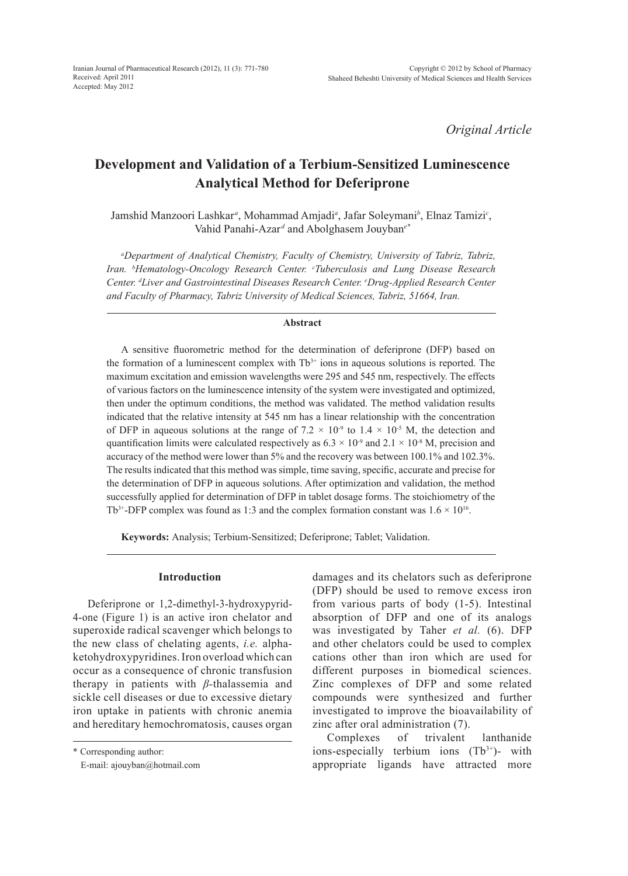*Original Article*

# **Development and Validation of a Terbium-Sensitized Luminescence Analytical Method for Deferiprone**

Jamshid Manzoori Lashkar*<sup>a</sup>* , Mohammad Amjadi*<sup>a</sup>* , Jafar Soleymani*<sup>b</sup>* , Elnaz Tamizi*<sup>c</sup>* , Vahid Panahi-Azar<sup>d</sup> and Abolghasem Jouyban<sup>e\*</sup>

*a Department of Analytical Chemistry, Faculty of Chemistry, University of Tabriz, Tabriz, Iran. b Hematology-Oncology Research Center. c Tuberculosis and Lung Disease Research Center. d Liver and Gastrointestinal Diseases Research Center. e Drug-Applied Research Center and Faculty of Pharmacy, Tabriz University of Medical Sciences, Tabriz, 51664, Iran.*

#### **Abstract**

A sensitive fluorometric method for the determination of deferiprone (DFP) based on the formation of a luminescent complex with  $Tb<sup>3+</sup>$  ions in aqueous solutions is reported. The maximum excitation and emission wavelengths were 295 and 545 nm, respectively. The effects of various factors on the luminescence intensity of the system were investigated and optimized, then under the optimum conditions, the method was validated. The method validation results indicated that the relative intensity at 545 nm has a linear relationship with the concentration of DFP in aqueous solutions at the range of 7.2  $\times$  10<sup>-9</sup> to 1.4  $\times$  10<sup>-5</sup> M, the detection and quantification limits were calculated respectively as  $6.3 \times 10^{-9}$  and  $2.1 \times 10^{-8}$  M, precision and accuracy of the method were lower than 5% and the recovery was between 100.1% and 102.3%. The results indicated that this method was simple, time saving, specific, accurate and precise for the determination of DFP in aqueous solutions. After optimization and validation, the method successfully applied for determination of DFP in tablet dosage forms. The stoichiometry of the Tb<sup>3+</sup>-DFP complex was found as 1:3 and the complex formation constant was  $1.6 \times 10^{16}$ .

**Keywords:** Analysis; Terbium-Sensitized; Deferiprone; Tablet; Validation.

## **Introduction**

Deferiprone or 1,2-dimethyl-3-hydroxypyrid-4-one (Figure 1) is an active iron chelator and superoxide radical scavenger which belongs to the new class of chelating agents, *i.e.* alphaketohydroxypyridines. Iron overload which can occur as a consequence of chronic transfusion therapy in patients with *β-*thalassemia and sickle cell diseases or due to excessive dietary iron uptake in patients with chronic anemia and hereditary hemochromatosis, causes organ

\* Corresponding author:

E-mail: ajouyban@hotmail.com

damages and its chelators such as deferiprone (DFP) should be used to remove excess iron from various parts of body (1-5). Intestinal absorption of DFP and one of its analogs was investigated by Taher *et al.* (6). DFP and other chelators could be used to complex cations other than iron which are used for different purposes in biomedical sciences. Zinc complexes of DFP and some related compounds were synthesized and further investigated to improve the bioavailability of zinc after oral administration (7).

Complexes of trivalent lanthanide ions-especially terbium ions  $(Tb^{3+})$ - with appropriate ligands have attracted more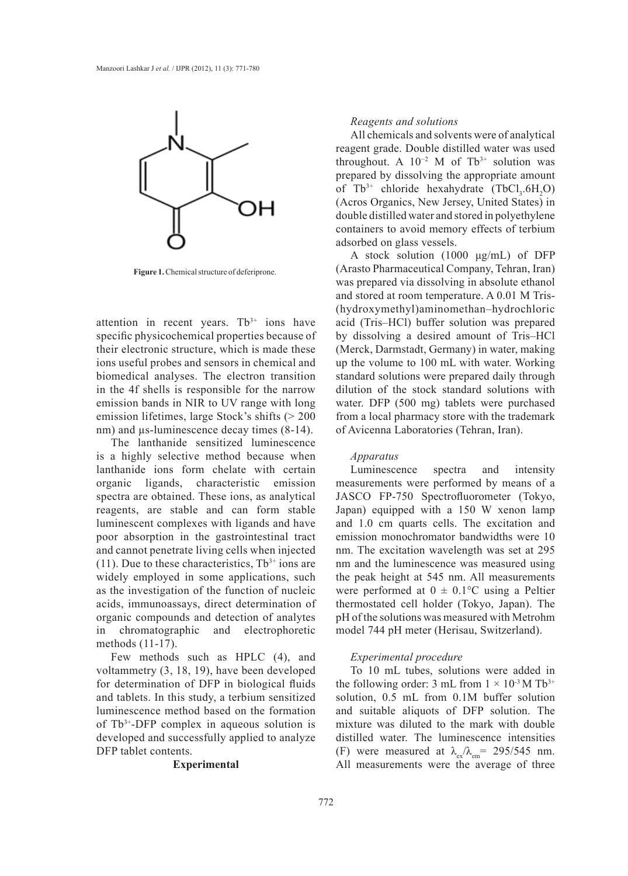

**Figure 1.** Chemical structure of deferiprone.

attention in recent years. Tb<sup>3+</sup> ions have specific physicochemical properties because of their electronic structure, which is made these ions useful probes and sensors in chemical and biomedical analyses. The electron transition in the 4f shells is responsible for the narrow emission bands in NIR to UV range with long emission lifetimes, large Stock's shifts (> 200 nm) and  $\mu$ s-luminescence decay times (8-14).

The lanthanide sensitized luminescence is a highly selective method because when lanthanide ions form chelate with certain organic ligands, characteristic emission spectra are obtained. These ions, as analytical reagents, are stable and can form stable luminescent complexes with ligands and have poor absorption in the gastrointestinal tract and cannot penetrate living cells when injected (11). Due to these characteristics,  $Tb^{3+}$  ions are widely employed in some applications, such as the investigation of the function of nucleic acids, immunoassays, direct determination of organic compounds and detection of analytes in chromatographic and electrophoretic methods (11-17).

Few methods such as HPLC (4), and voltammetry (3, 18, 19), have been developed for determination of DFP in biological fluids and tablets. In this study, a terbium sensitized luminescence method based on the formation of Tb3+-DFP complex in aqueous solution is developed and successfully applied to analyze DFP tablet contents.

## **Experimental**

#### *Reagents and solutions*

All chemicals and solvents were of analytical reagent grade. Double distilled water was used throughout. A  $10^{-2}$  M of Tb<sup>3+</sup> solution was prepared by dissolving the appropriate amount of  $Tb^{3+}$  chloride hexahydrate  $(TbCl<sub>3</sub>, 6H<sub>2</sub>O)$ (Acros Organics, New Jersey, United States) in double distilled water and stored in polyethylene containers to avoid memory effects of terbium adsorbed on glass vessels.

A stock solution (1000 μg/mL) of DFP (Arasto Pharmaceutical Company, Tehran, Iran) was prepared via dissolving in absolute ethanol and stored at room temperature. A 0.01 M Tris- (hydroxymethyl)aminomethan–hydrochloric acid (Tris–HCl) buffer solution was prepared by dissolving a desired amount of Tris–HCl (Merck, Darmstadt, Germany) in water, making up the volume to 100 mL with water. Working standard solutions were prepared daily through dilution of the stock standard solutions with water. DFP (500 mg) tablets were purchased from a local pharmacy store with the trademark of Avicenna Laboratories (Tehran, Iran).

#### *Apparatus*

Luminescence spectra and intensity measurements were performed by means of a JASCO FP-750 Spectrofluorometer (Tokyo, Japan) equipped with a 150 W xenon lamp and 1.0 cm quarts cells. The excitation and emission monochromator bandwidths were 10 nm. The excitation wavelength was set at 295 nm and the luminescence was measured using the peak height at 545 nm. All measurements were performed at  $0 \pm 0.1$ °C using a Peltier thermostated cell holder (Tokyo, Japan). The pH of the solutions was measured with Metrohm model 744 pH meter (Herisau, Switzerland).

## *Experimental procedure*

To 10 mL tubes, solutions were added in the following order: 3 mL from  $1 \times 10^{-3}$  M Tb<sup>3+</sup> solution, 0.5 mL from 0.1M buffer solution and suitable aliquots of DFP solution. The mixture was diluted to the mark with double distilled water. The luminescence intensities (F) were measured at  $\lambda_{\rm ex}/\lambda_{\rm em}$  = 295/545 nm. All measurements were the average of three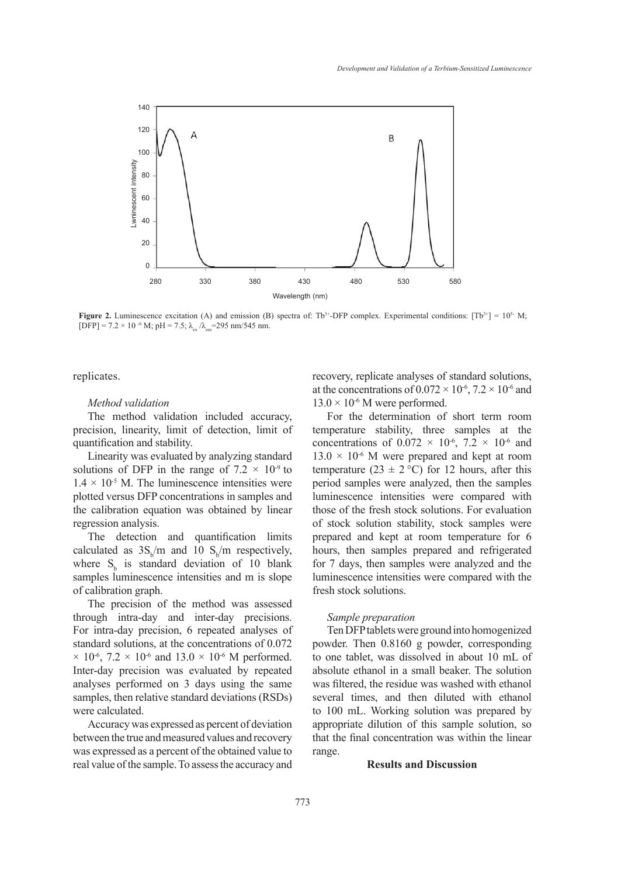

**Figure 2.** Luminescence excitation (A) and emission (B) spectra of: Tb<sup>3+</sup>-DFP complex. Experimental conditions:  $[Tb^{3+}] = 10^{5}$  M;  $[DFP] = 7.2 \times 10^{-6}$  M; pH = 7.5;  $\lambda_{\text{ex}}/\lambda_{\text{em}} = 295$  nm/545 nm.

replicates.

#### *Method validation*

The method validation included accuracy, precision, linearity, limit of detection, limit of quantification and stability.

Linearity was evaluated by analyzing standard solutions of DFP in the range of  $7.2 \times 10^{-9}$  to  $1.4 \times 10^{-5}$  M. The luminescence intensities were plotted versus DFP concentrations in samples and the calibration equation was obtained by linear regression analysis.

The detection and quantification limits calculated as  $3S_b/m$  and 10  $S_b/m$  respectively, where  $S_b$  is standard deviation of 10 blank samples luminescence intensities and m is slope of calibration graph.

The precision of the method was assessed through intra-day and inter-day precisions. For intra-day precision, 6 repeated analyses of standard solutions, at the concentrations of 0.072  $\times$  10<sup>-6</sup>, 7.2  $\times$  10<sup>-6</sup> and 13.0  $\times$  10<sup>-6</sup> M performed. Inter-day precision was evaluated by repeated analyses performed on 3 days using the same samples, then relative standard deviations (RSDs) were calculated.

Accuracy was expressed as percent of deviation between the true and measured values and recovery was expressed as a percent of the obtained value to real value of the sample. To assess the accuracy and recovery, replicate analyses of standard solutions, at the concentrations of  $0.072 \times 10^{-6}$ ,  $7.2 \times 10^{-6}$  and  $13.0 \times 10^{-6}$  M were performed.

For the determination of short term room temperature stability, three samples at the concentrations of  $0.072 \times 10^{-6}$ ,  $7.2 \times 10^{-6}$  and  $13.0 \times 10^{-6}$  M were prepared and kept at room temperature (23  $\pm$  2 °C) for 12 hours, after this period samples were analyzed, then the samples luminescence intensities were compared with those of the fresh stock solutions. For evaluation of stock solution stability, stock samples were prepared and kept at room temperature for 6 hours, then samples prepared and refrigerated for 7 days, then samples were analyzed and the luminescence intensities were compared with the fresh stock solutions.

#### *Sample preparation*

Ten DFP tablets were ground into homogenized powder. Then 0.8160 g powder, corresponding to one tablet, was dissolved in about 10 mL of absolute ethanol in a small beaker. The solution was filtered, the residue was washed with ethanol several times, and then diluted with ethanol to 100 mL. Working solution was prepared by appropriate dilution of this sample solution, so that the final concentration was within the linear range.

#### **Results and Discussion**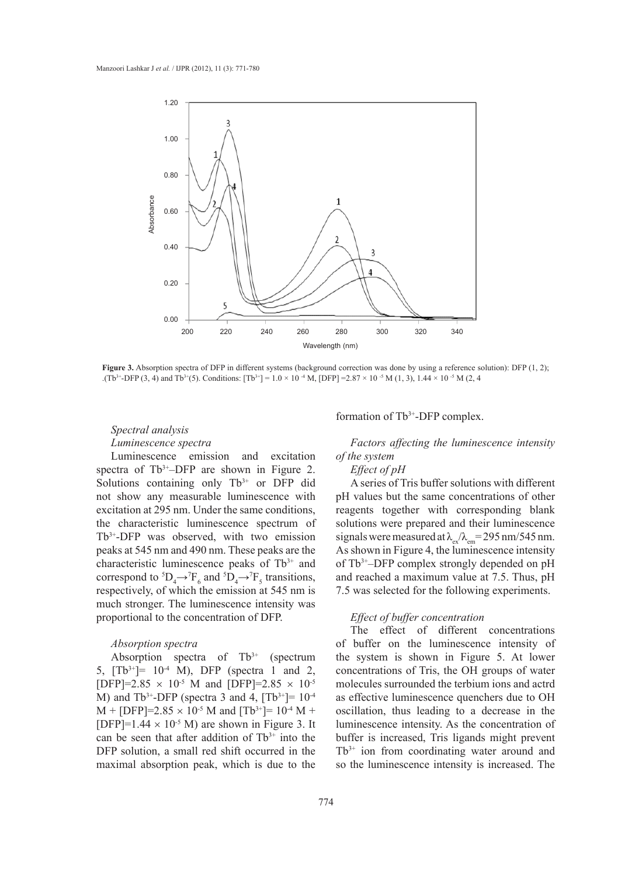

**Figure 3.** Absorption spectra of DFP in different systems (background correction was done by using a reference solution): DFP (1, 2); .(Tb<sup>3+</sup>-DFP (3, 4) and Tb<sup>3+</sup>(5). Conditions: [Tb<sup>3+</sup>] = 1.0 × 10<sup>-4</sup> M, [DFP] =2.87 × 10<sup>-5</sup> M (1, 3), 1.44 × 10<sup>-5</sup> M (2, 4)

# *Spectral analysis Luminescence spectra*

Luminescence emission and excitation spectra of  $Tb^{3+}-DFP$  are shown in Figure 2. Solutions containing only  $Tb^{3+}$  or DFP did not show any measurable luminescence with excitation at 295 nm. Under the same conditions, the characteristic luminescence spectrum of Tb3+-DFP was observed, with two emission peaks at 545 nm and 490 nm. These peaks are the characteristic luminescence peaks of Tb<sup>3+</sup> and correspond to  ${}^5D_4 \rightarrow {}^7F_6$  and  ${}^5D_4 \rightarrow {}^7F_5$  transitions, respectively, of which the emission at 545 nm is much stronger. The luminescence intensity was proportional to the concentration of DFP.

## *Absorption spectra*

Absorption spectra of  $Tb^{3+}$  (spectrum 5,  $[Tb^{3+}]= 10^{-4}$  M), DFP (spectra 1 and 2, [DFP]=2.85  $\times$  10<sup>-5</sup> M and [DFP]=2.85  $\times$  10<sup>-5</sup> M) and Tb<sup>3+</sup>-DFP (spectra 3 and 4,  $|Tb^{3+}| = 10^{-4}$  $M + [DFP]=2.85 \times 10^{-5}$  M and  $[Tb^{3+}]= 10^{-4}$  M + [DFP]= $1.44 \times 10^{-5}$  M) are shown in Figure 3. It can be seen that after addition of  $Tb^{3+}$  into the DFP solution, a small red shift occurred in the maximal absorption peak, which is due to the

formation of Tb3+-DFP complex.

*Factors affecting the luminescence intensity of the system*

#### *Effect of pH*

A series of Tris buffer solutions with different pH values but the same concentrations of other reagents together with corresponding blank solutions were prepared and their luminescence signals were measured at  $\lambda_{\rm ex}/\lambda_{\rm em}$  = 295 nm/545 nm. As shown in Figure 4, the luminescence intensity of Tb3+–DFP complex strongly depended on pH and reached a maximum value at 7.5. Thus, pH 7.5 was selected for the following experiments.

## *Effect of buffer concentration*

The effect of different concentrations of buffer on the luminescence intensity of the system is shown in Figure 5. At lower concentrations of Tris, the OH groups of water molecules surrounded the terbium ions and actrd as effective luminescence quenchers due to OH oscillation, thus leading to a decrease in the luminescence intensity. As the concentration of buffer is increased, Tris ligands might prevent  $Tb^{3+}$  ion from coordinating water around and so the luminescence intensity is increased. The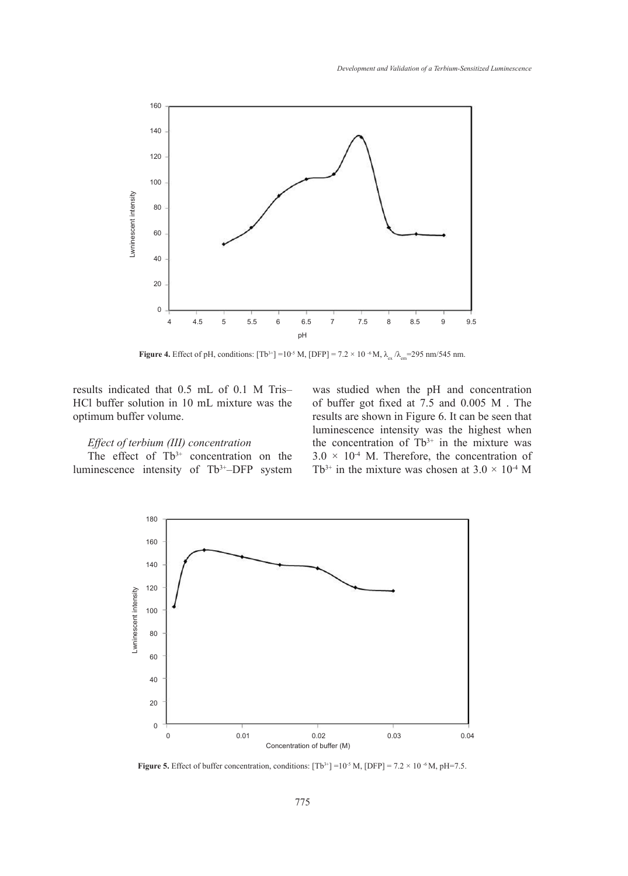

**Figure 4.** Effect of pH, conditions:  $[Tb^{3+}] = 10^{-5}$  M,  $[DFP] = 7.2 \times 10^{-6}$  M,  $\lambda_{ex}/\lambda_{em} = 295$  nm/545 nm.

results indicated that 0.5 mL of 0.1 M Tris– HCl buffer solution in 10 mL mixture was the optimum buffer volume.

## *Effect of terbium (III) concentration*

The effect of  $Tb^{3+}$  concentration on the luminescence intensity of Tb3+–DFP system

was studied when the pH and concentration of buffer got fixed at 7.5 and 0.005 M . The results are shown in Figure 6. It can be seen that luminescence intensity was the highest when the concentration of  $Tb^{3+}$  in the mixture was  $3.0 \times 10^{-4}$  M. Therefore, the concentration of Tb<sup>3+</sup> in the mixture was chosen at  $3.0 \times 10^{4}$  M



**Figure 5.** Effect of buffer concentration, conditions:  $[Tb^{3+}] = 10^{-5}$  M,  $[DFP] = 7.2 \times 10^{-6}$  M,  $pH = 7.5$ .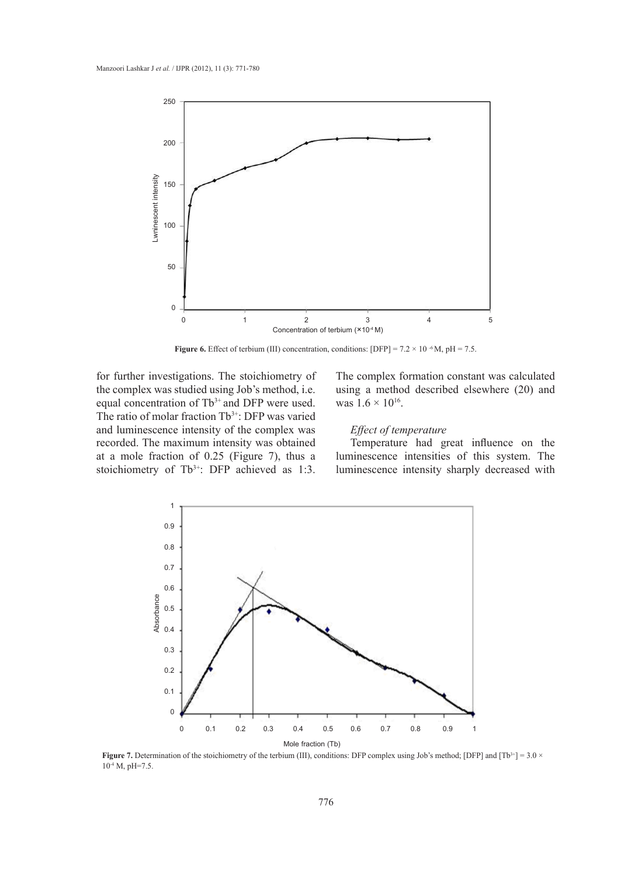

**Figure 6.** Effect of terbium (III) concentration, conditions: [DFP] =  $7.2 \times 10^{-6}$  M, pH =  $7.5$ .

for further investigations. The stoichiometry of the complex was studied using Job's method, i.e. equal concentration of  $Tb^{3+}$  and DFP were used. The ratio of molar fraction Tb<sup>3+</sup>: DFP was varied and luminescence intensity of the complex was recorded. The maximum intensity was obtained at a mole fraction of 0.25 (Figure 7), thus a stoichiometry of Tb<sup>3+</sup>: DFP achieved as 1:3.

The complex formation constant was calculated using a method described elsewhere (20) and was  $1.6 \times 10^{16}$ .

## *Effect of temperature*

Temperature had great influence on the luminescence intensities of this system. The luminescence intensity sharply decreased with



**Figure 7.** Determination of the stoichiometry of the terbium (III), conditions: DFP complex using Job's method; [DFP] and  $[Tb^{3+}] = 3.0 \times T$  $10^{-4}$  M, pH=7.5.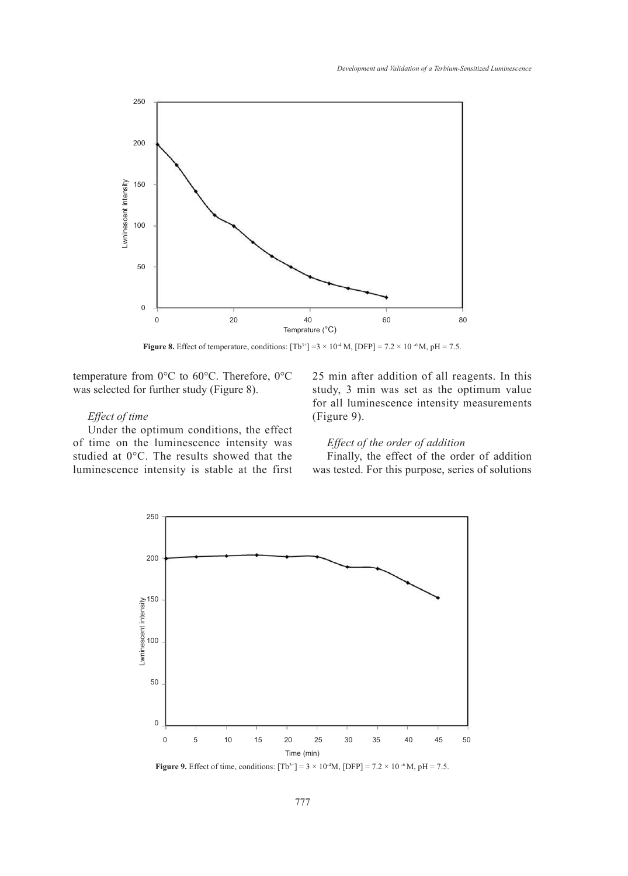

**Figure 8.** Effect of temperature, conditions:  $[Tb^{3+}] = 3 \times 10^{-4}$  M,  $[DFP] = 7.2 \times 10^{-6}$  M,  $pH = 7.5$ .

temperature from 0°C to 60°C. Therefore, 0°C was selected for further study (Figure 8).

# *Effect of time*

Under the optimum conditions, the effect of time on the luminescence intensity was studied at 0°C. The results showed that the luminescence intensity is stable at the first 25 min after addition of all reagents. In this study, 3 min was set as the optimum value for all luminescence intensity measurements (Figure 9).

## *Effect of the order of addition*

Finally, the effect of the order of addition was tested. For this purpose, series of solutions



**Figure 9.** Effect of time, conditions:  $[Tb^{3+}] = 3 \times 10^{-4}M$ ,  $[DFP] = 7.2 \times 10^{-6}M$ ,  $pH = 7.5$ .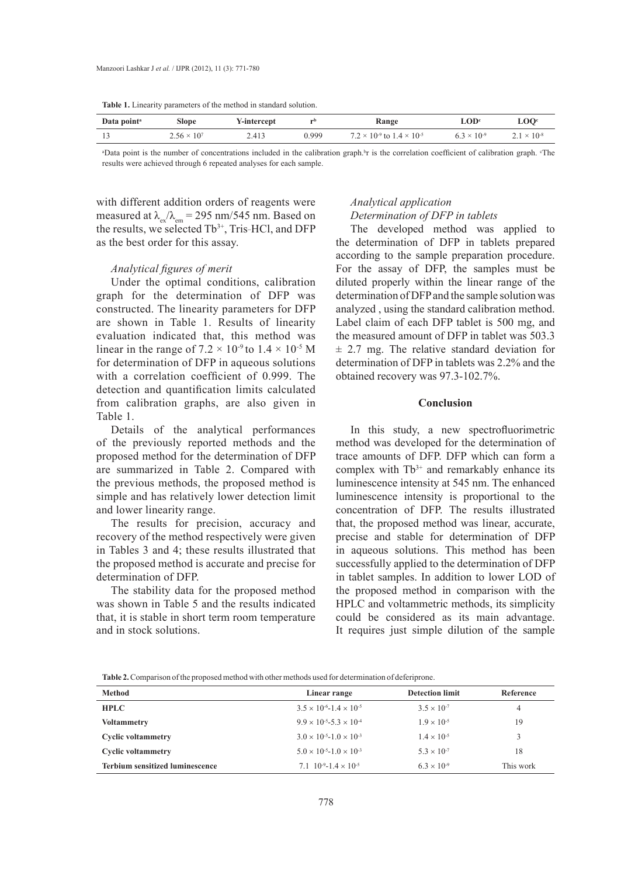**Table 1.** Linearity parameters of the method in standard solution.

| Data point <sup>a</sup> | Slope                | Y-intercept | $\mathbf{H}$ | <b>Range</b>                                 | ∟OD'                 | $\mathbf{LOO}^c$     |
|-------------------------|----------------------|-------------|--------------|----------------------------------------------|----------------------|----------------------|
|                         | $2.56 \times 10^{7}$ | 2.413       | 0.999        | $7.2 \times 10^{-9}$ to $1.4 \times 10^{-5}$ | $6.3 \times 10^{-9}$ | $2.1 \times 10^{-8}$ |

<sup>a</sup>Data point is the number of concentrations included in the calibration graph.<sup>b</sup>r is the correlation coefficient of calibration graph. The results were achieved through 6 repeated analyses for each sample.

with different addition orders of reagents were measured at  $\lambda_{\rm ex}/\lambda_{\rm em} = 295$  nm/545 nm. Based on the results, we selected  $Tb^{3+}$ , Tris-HCl, and DFP as the best order for this assay.

#### *Analytical figures of merit*

Under the optimal conditions, calibration graph for the determination of DFP was constructed. The linearity parameters for DFP are shown in Table 1. Results of linearity evaluation indicated that, this method was linear in the range of  $7.2 \times 10^{-9}$  to  $1.4 \times 10^{-5}$  M for determination of DFP in aqueous solutions with a correlation coefficient of 0.999. The detection and quantification limits calculated from calibration graphs, are also given in Table 1.

Details of the analytical performances of the previously reported methods and the proposed method for the determination of DFP are summarized in Table 2. Compared with the previous methods, the proposed method is simple and has relatively lower detection limit and lower linearity range.

The results for precision, accuracy and recovery of the method respectively were given in Tables 3 and 4; these results illustrated that the proposed method is accurate and precise for determination of DFP.

The stability data for the proposed method was shown in Table 5 and the results indicated that, it is stable in short term room temperature and in stock solutions.

## *Analytical application Determination of DFP in tablets*

The developed method was applied to the determination of DFP in tablets prepared according to the sample preparation procedure. For the assay of DFP, the samples must be diluted properly within the linear range of the determination of DFP and the sample solution was analyzed , using the standard calibration method. Label claim of each DFP tablet is 500 mg, and the measured amount of DFP in tablet was 503.3 ± 2.7 mg. The relative standard deviation for determination of DFP in tablets was 2.2% and the obtained recovery was 97.3-102.7%.

#### **Conclusion**

In this study, a new spectrofluorimetric method was developed for the determination of trace amounts of DFP. DFP which can form a complex with  $Tb^{3+}$  and remarkably enhance its luminescence intensity at 545 nm. The enhanced luminescence intensity is proportional to the concentration of DFP. The results illustrated that, the proposed method was linear, accurate, precise and stable for determination of DFP in aqueous solutions. This method has been successfully applied to the determination of DFP in tablet samples. In addition to lower LOD of the proposed method in comparison with the HPLC and voltammetric methods, its simplicity could be considered as its main advantage. It requires just simple dilution of the sample

|  |  |  | <b>Table 2.</b> Comparison of the proposed method with other methods used for determination of deferiprone. |
|--|--|--|-------------------------------------------------------------------------------------------------------------|
|--|--|--|-------------------------------------------------------------------------------------------------------------|

| Method                                 | Linear range                              | <b>Detection limit</b> | Reference |
|----------------------------------------|-------------------------------------------|------------------------|-----------|
| <b>HPLC</b>                            | $3.5 \times 10^{-6} - 1.4 \times 10^{-5}$ | $3.5 \times 10^{-7}$   | 4         |
| <b>Voltammetry</b>                     | $9.9 \times 10^{-5} - 5.3 \times 10^{-4}$ | $1.9 \times 10^{-5}$   | 19        |
| <b>Cyclic voltammetry</b>              | $3.0 \times 10^{-5} - 1.0 \times 10^{-3}$ | $1.4 \times 10^{-5}$   |           |
| <b>Cyclic voltammetry</b>              | $5.0 \times 10^{-5} - 1.0 \times 10^{-3}$ | $5.3 \times 10^{-7}$   | 18        |
| <b>Terbium sensitized luminescence</b> | 7.1 $10^{-9} - 1.4 \times 10^{-5}$        | $6.3 \times 10^{-9}$   | This work |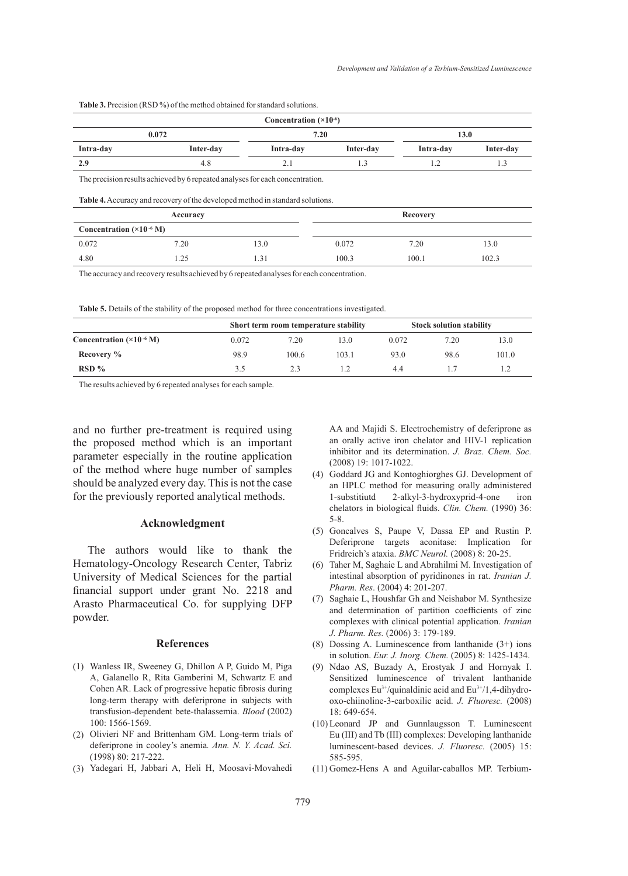Table 3. Precision (RSD %) of the method obtained for standard solutions.

|                                    |                                                                                                  | Concentration $(\times 10^{-6})$ |           |           |           |
|------------------------------------|--------------------------------------------------------------------------------------------------|----------------------------------|-----------|-----------|-----------|
| 0.072                              |                                                                                                  |                                  | 7.20      | 13.0      |           |
| Intra-day                          | Inter-day                                                                                        | Intra-day                        | Inter-day | Intra-day | Inter-day |
| 2.9                                | 4.8                                                                                              | 2.1                              | 1.3       | 1.2       | 1.3       |
|                                    | <b>Table 4.</b> Accuracy and recovery of the developed method in standard solutions.<br>Accuracy |                                  |           | Recovery  |           |
| Concentration $(\times 10^{-6} M)$ |                                                                                                  |                                  |           |           |           |
| 0.072                              | 7.20                                                                                             | 13.0                             | 0.072     | 7.20      | 13.0      |
| 4.80                               | 1.25                                                                                             |                                  |           |           |           |

The accuracy and recovery results achieved by 6 repeated analyses for each concentration.

**Table 5.** Details of the stability of the proposed method for three concentrations investigated.

|                                    | Short term room temperature stability |       |       | <b>Stock solution stability</b> |      |       |
|------------------------------------|---------------------------------------|-------|-------|---------------------------------|------|-------|
| Concentration $(\times 10^{-6} M)$ | 0.072                                 | 7.20  | 13.0  | 0.072                           | 7.20 | 13.0  |
| Recovery %                         | 98.9                                  | 100.6 | 103.1 | 93.0                            | 98.6 | 101.0 |
| $RSD\%$                            | 3.5                                   | 2.3   |       | 44                              |      |       |

The results achieved by 6 repeated analyses for each sample.

and no further pre-treatment is required using the proposed method which is an important parameter especially in the routine application of the method where huge number of samples should be analyzed every day. This is not the case for the previously reported analytical methods.

#### **Acknowledgment**

The authors would like to thank the Hematology-Oncology Research Center, Tabriz University of Medical Sciences for the partial financial support under grant No. 2218 and Arasto Pharmaceutical Co. for supplying DFP powder.

#### **References**

- Wanless IR, Sweeney G, Dhillon A P, Guido M, Piga (1) A, Galanello R, Rita Gamberini M, Schwartz E and Cohen AR. Lack of progressive hepatic fibrosis during long-term therapy with deferiprone in subjects with transfusion-dependent bete-thalassemia. *Blood* (2002) 100: 1566-1569.
- (2) Olivieri NF and Brittenham GM. Long-term trials of deferiprone in cooley's anemia*. Ann. N. Y. Acad. Sci.* (1998) 80: 217-222.
- Yadegari H, Jabbari A, Heli H, Moosavi-Movahedi (3)

AA and Majidi S. Electrochemistry of deferiprone as an orally active iron chelator and HIV-1 replication inhibitor and its determination. *J. Braz. Chem. Soc.* (2008) 19: 1017-1022.

- (4) Goddard JG and Kontoghiorghes GJ. Development of an HPLC method for measuring orally administered 1-substitiutd 2-alkyl-3-hydroxyprid-4-one iron chelators in biological fluids. *Clin. Chem.* (1990) 36: 5-8.
- Goncalves S, Paupe V, Dassa EP and Rustin P. (5) Deferiprone targets aconitase: Implication for Fridreich's ataxia. *BMC Neurol.* (2008) 8: 20-25.
- Taher M, Saghaie L and Abrahilmi M. Investigation of (6) intestinal absorption of pyridinones in rat. *Iranian J. Pharm. Res*. (2004) 4: 201-207.
- (7) Saghaie L, Houshfar Gh and Neishabor M. Synthesize and determination of partition coefficients of zinc complexes with clinical potential application. *Iranian J. Pharm. Res.* (2006) 3: 179-189.
- (8) Dossing A. Luminescence from lanthanide  $(3+)$  ions in solution. *Eur. J. Inorg. Chem.* (2005) 8: 1425-1434.
- Ndao AS, Buzady A, Erostyak J and Hornyak I. (9) Sensitized luminescence of trivalent lanthanide complexes  $Eu^{3+}/$ quinaldinic acid and  $Eu^{3+}/1$ , 4-dihydrooxo-chiinoline-3-carboxilic acid. *J. Fluoresc.* (2008) 18: 649-654.
- Leonard JP and Gunnlaugsson T. Luminescent (10) Eu (III) and Tb (III) complexes: Developing lanthanide luminescent-based devices. *J. Fluoresc.* (2005) 15: 585-595.
- (11) Gomez-Hens A and Aguilar-caballos MP. Terbium-